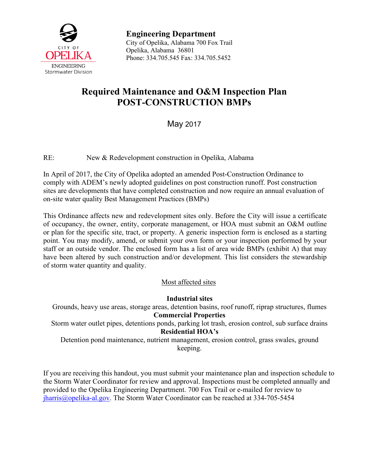

**Engineering Department** City of Opelika, Alabama 700 Fox Trail Opelika, Alabama 36801 Phone: 334.705.545 Fax: 334.705.5452

# **Required Maintenance and O&M Inspection Plan POST-CONSTRUCTION BMPs**

May 2017

RE: New & Redevelopment construction in Opelika, Alabama

In April of 2017, the City of Opelika adopted an amended Post-Construction Ordinance to comply with ADEM's newly adopted guidelines on post construction runoff. Post construction sites are developments that have completed construction and now require an annual evaluation of on-site water quality Best Management Practices (BMPs)

This Ordinance affects new and redevelopment sites only. Before the City will issue a certificate of occupancy, the owner, entity, corporate management, or HOA must submit an O&M outline or plan for the specific site, tract, or property. A generic inspection form is enclosed as a starting point. You may modify, amend, or submit your own form or your inspection performed by your staff or an outside vendor. The enclosed form has a list of area wide BMPs (exhibit A) that may have been altered by such construction and/or development. This list considers the stewardship of storm water quantity and quality.

Most affected sites

**Industrial sites**

Grounds, heavy use areas, storage areas, detention basins, roof runoff, riprap structures, flumes **Commercial Properties** Storm water outlet pipes, detentions ponds, parking lot trash, erosion control, sub surface drains **Residential HOA's**

Detention pond maintenance, nutrient management, erosion control, grass swales, ground keeping.

If you are receiving this handout, you must submit your maintenance plan and inspection schedule to the Storm Water Coordinator for review and approval. Inspections must be completed annually and provided to the Opelika Engineering Department. 700 Fox Trail or e-mailed for review to [jharris@opelika-al.gov.](mailto:jharris@opelika-al.gov) The Storm Water Coordinator can be reached at 334-705-5454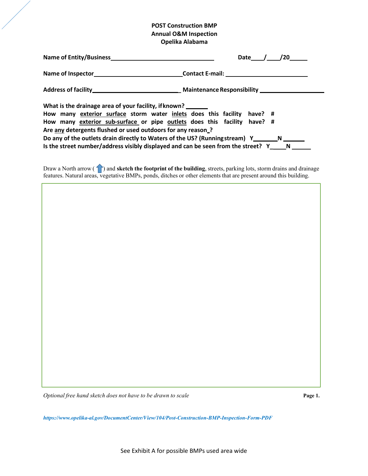## **POST Construction BMP Annual O&M Inspection Opelika Alabama**

|                                                                                                                                                                                                                                                                                                                                                                                                                                                                               | /20<br>Date |  |  |  |  |
|-------------------------------------------------------------------------------------------------------------------------------------------------------------------------------------------------------------------------------------------------------------------------------------------------------------------------------------------------------------------------------------------------------------------------------------------------------------------------------|-------------|--|--|--|--|
|                                                                                                                                                                                                                                                                                                                                                                                                                                                                               |             |  |  |  |  |
|                                                                                                                                                                                                                                                                                                                                                                                                                                                                               |             |  |  |  |  |
| What is the drainage area of your facility, if known?<br>How many exterior surface storm water inlets does this facility<br>have? $\#$<br>How many exterior sub-surface or pipe outlets does this facility have? #<br>Are any detergents flushed or used outdoors for any reason?<br>Do any of the outlets drain directly to Waters of the US? (Runningstream) Y___________N<br>Is the street number/address visibly displayed and can be seen from the street? $Y \_ N \_ N$ |             |  |  |  |  |

Draw a North arrow (**1**) and **sketch the footprint of the building**, streets, parking lots, storm drains and drainage features. Natural areas, vegetative BMPs, ponds, ditches or other elements that are present around this building.

*Optional free hand sketch does not have to be drawn to scale* **Page 1.**

*https://www.opelika-al.gov/DocumentCenter/View/104/Post-Construction-BMP-Inspection-Form-PDF*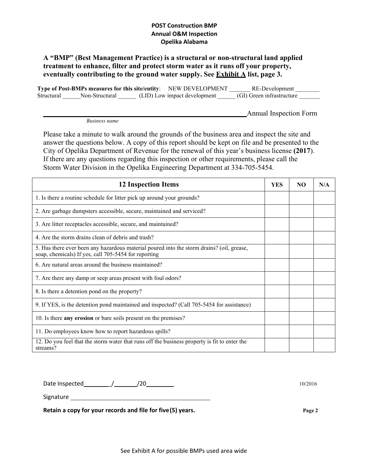## **POST Construction BMP Annual O&M Inspection Opelika Alabama**

## **A "BMP" (Best Management Practice) is a structural or non-structural land applied treatment to enhance, filter and protect storm water as it runs off your property, eventually contributing to the ground water supply. See Exhibit A list, page 3.**

**Type of Post-BMPs measures for this site/entity**: NEW DEVELOPMENT \_\_\_\_\_\_\_ RE-Development \_\_\_\_\_\_\_\_ Structural \_\_\_\_\_\_Non-Structural \_\_\_\_\_\_ (LID) Low impact development \_\_\_\_\_ (GI) Green infrastructure \_\_\_\_\_\_

Annual Inspection Form

*Business name*

Please take a minute to walk around the grounds of the business area and inspect the site and answer the questions below. A copy of this report should be kept on file and be presented to the City of Opelika Department of Revenue for the renewal of this year's business license **(2017**). If there are any questions regarding this inspection or other requirements, please call the Storm Water Division in the Opelika Engineering Department at 334-705-5454.

| <b>12 Inspection Items</b>                                                                                                                        | <b>YES</b> | NO | N/A |
|---------------------------------------------------------------------------------------------------------------------------------------------------|------------|----|-----|
| 1. Is there a routine schedule for litter pick up around your grounds?                                                                            |            |    |     |
| 2. Are garbage dumpsters accessible, secure, maintained and serviced?                                                                             |            |    |     |
| 3. Are litter receptacles accessible, secure, and maintained?                                                                                     |            |    |     |
| 4. Are the storm drains clean of debris and trash?                                                                                                |            |    |     |
| 5. Has there ever been any hazardous material poured into the storm drains? (oil, grease,<br>soap, chemicals) If yes, call 705-5454 for reporting |            |    |     |
| 6. Are natural areas around the business maintained?                                                                                              |            |    |     |
| 7. Are there any damp or seep areas present with foul odors?                                                                                      |            |    |     |
| 8. Is there a detention pond on the property?                                                                                                     |            |    |     |
| 9. If YES, is the detention pond maintained and inspected? (Call 705-5454 for assistance)                                                         |            |    |     |
| 10. Is there any erosion or bare soils present on the premises?                                                                                   |            |    |     |
| 11. Do employees know how to report hazardous spills?                                                                                             |            |    |     |
| 12. Do you feel that the storm water that runs off the business property is fit to enter the<br>streams?                                          |            |    |     |

Date Inspected 10/2016

Signature

**Retain a copy for your records and file for five(5) years. Page 2**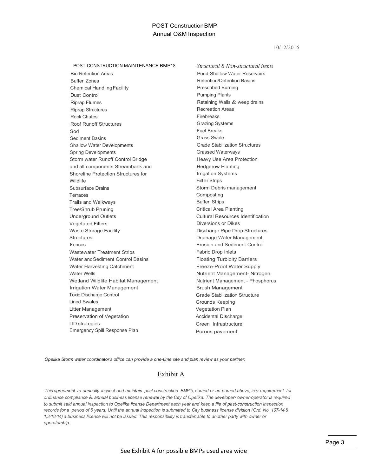## POST ConstructionBMP Annual O&M Inspection

10/12/2016

POST-CONSTRUCTION MAINTENANCE BMP'S

Bio Retention Areas Buffer Zones Chemical HandlingFacility Dust Control Riprap Flumes Riprap Structures Rock Chutes Roof Runoff Structures Sod Sediment Basins Shallow Water Developments Spring Developments Storm water Runoff Control Bridge and all components Streambank and Shoreline Protection Structures for Wildlife Subsurface Drains **Terraces** Trails and Walkways Tree/Shrub Pruning Underground Outlets Vegetated Filters Waste Storage Facility **Structures** Fences Wastewater Treatment Strips Water andSediment Control Basins Water Harvesting Catchment Water Wells Wetland Wildlife Habitat Management Irrigation Water Management Toxic Discharge Control Lined Swales Litter Management Preservation of Vegetation LlD strategies Emergency Spill Response Plan

*Structural* & *Non-structural items*  Pond-Shallow Water Reservoirs Retention/Detention Basins Prescribed Burning Pumping Plants Retaining Walls & weep drains Recreation Areas Firebreaks Grazing Systems Fuel Breaks Grass Swale Grade Stabilization Structures Grassed Waterways Heavy Use Area Protection Hedgerow Planting Irrigation Systems Filter Strips Storm Debris management Composting Buffer Strips Critical Area Planting Cultural Resources Identification Diversions or Dikes Discharge Pipe Drop Structures Drainage Water Management Erosion and Sediment Control Fabric Drop Inlets Floating Turbidity Barriers Freeze-Proof Water Supply Nutrient Management- Nitrogen Nutrient Management - Phosphorus Brush Management Grade Stabilization Structure Grounds Keeping Vegetation Plan Accidental Discharge Green Infrastructure Porous pavement

*Opelika Storm water coordinator's office can provide a one-time site and plan review as your partner.*

## Exhibit A

*This agreement to annually inspect and maintain past-construction BMP's, named or un-named above,is <sup>a</sup> requirement for ordinance compliance* & *annual business license renewal by the City of Opelika. The developer• owner-operator is required*  to submit said annual inspection to Opelika license Department each year and keep a file of past-construction inspection *records for a period of 5 years. Until the annual inspection is submitted to City business license division (Ord. No. 107-14* & *1,3-18-14) a business license will not be issued. This responsibility is transferrable to another party with owner or operatorship.*